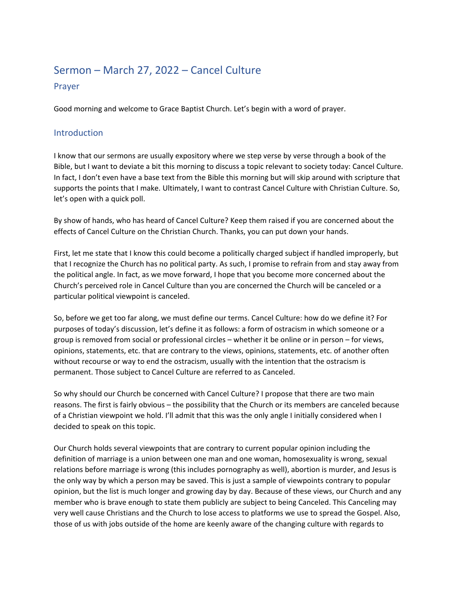# Sermon – March 27, 2022 – Cancel Culture Prayer

Good morning and welcome to Grace Baptist Church. Let's begin with a word of prayer.

#### Introduction

I know that our sermons are usually expository where we step verse by verse through a book of the Bible, but I want to deviate a bit this morning to discuss a topic relevant to society today: Cancel Culture. In fact, I don't even have a base text from the Bible this morning but will skip around with scripture that supports the points that I make. Ultimately, I want to contrast Cancel Culture with Christian Culture. So, let's open with a quick poll.

By show of hands, who has heard of Cancel Culture? Keep them raised if you are concerned about the effects of Cancel Culture on the Christian Church. Thanks, you can put down your hands.

First, let me state that I know this could become a politically charged subject if handled improperly, but that I recognize the Church has no political party. As such, I promise to refrain from and stay away from the political angle. In fact, as we move forward, I hope that you become more concerned about the Church's perceived role in Cancel Culture than you are concerned the Church will be canceled or a particular political viewpoint is canceled.

So, before we get too far along, we must define our terms. Cancel Culture: how do we define it? For purposes of today's discussion, let's define it as follows: a form of ostracism in which someone or a group is removed from social or professional circles – whether it be online or in person – for views, opinions, statements, etc. that are contrary to the views, opinions, statements, etc. of another often without recourse or way to end the ostracism, usually with the intention that the ostracism is permanent. Those subject to Cancel Culture are referred to as Canceled.

So why should our Church be concerned with Cancel Culture? I propose that there are two main reasons. The first is fairly obvious – the possibility that the Church or its members are canceled because of a Christian viewpoint we hold. I'll admit that this was the only angle I initially considered when I decided to speak on this topic.

Our Church holds several viewpoints that are contrary to current popular opinion including the definition of marriage is a union between one man and one woman, homosexuality is wrong, sexual relations before marriage is wrong (this includes pornography as well), abortion is murder, and Jesus is the only way by which a person may be saved. This is just a sample of viewpoints contrary to popular opinion, but the list is much longer and growing day by day. Because of these views, our Church and any member who is brave enough to state them publicly are subject to being Canceled. This Canceling may very well cause Christians and the Church to lose access to platforms we use to spread the Gospel. Also, those of us with jobs outside of the home are keenly aware of the changing culture with regards to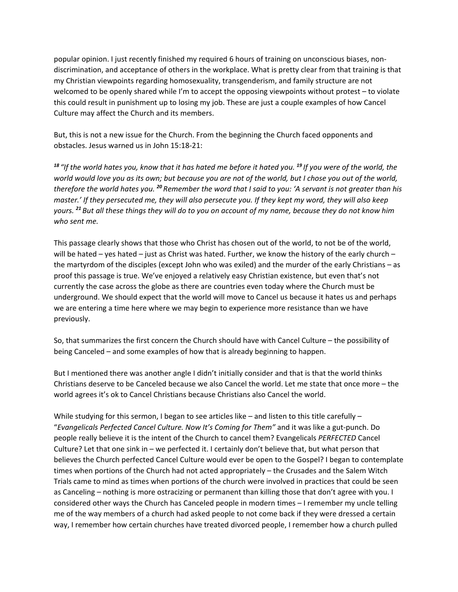popular opinion. I just recently finished my required 6 hours of training on unconscious biases, nondiscrimination, and acceptance of others in the workplace. What is pretty clear from that training is that my Christian viewpoints regarding homosexuality, transgenderism, and family structure are not welcomed to be openly shared while I'm to accept the opposing viewpoints without protest – to violate this could result in punishment up to losing my job. These are just a couple examples of how Cancel Culture may affect the Church and its members.

But, this is not a new issue for the Church. From the beginning the Church faced opponents and obstacles. Jesus warned us in John 15:18-21:

*<sup>18</sup> "If the world hates you, know that it has hated me before it hated you. <sup>19</sup> If you were of the world, the world would love you as its own; but because you are not of the world, but I chose you out of the world, therefore the world hates you. <sup>20</sup> Remember the word that I said to you: 'A servant is not greater than his master.' If they persecuted me, they will also persecute you. If they kept my word, they will also keep yours. <sup>21</sup> But all these things they will do to you on account of my name, because they do not know him who sent me.*

This passage clearly shows that those who Christ has chosen out of the world, to not be of the world, will be hated – yes hated – just as Christ was hated. Further, we know the history of the early church – the martyrdom of the disciples (except John who was exiled) and the murder of the early Christians – as proof this passage is true. We've enjoyed a relatively easy Christian existence, but even that's not currently the case across the globe as there are countries even today where the Church must be underground. We should expect that the world will move to Cancel us because it hates us and perhaps we are entering a time here where we may begin to experience more resistance than we have previously.

So, that summarizes the first concern the Church should have with Cancel Culture – the possibility of being Canceled – and some examples of how that is already beginning to happen.

But I mentioned there was another angle I didn't initially consider and that is that the world thinks Christians deserve to be Canceled because we also Cancel the world. Let me state that once more – the world agrees it's ok to Cancel Christians because Christians also Cancel the world.

While studying for this sermon, I began to see articles like – and listen to this title carefully – "*Evangelicals Perfected Cancel Culture. Now It's Coming for Them"* and it was like a gut-punch. Do people really believe it is the intent of the Church to cancel them? Evangelicals *PERFECTED* Cancel Culture? Let that one sink in – we perfected it. I certainly don't believe that, but what person that believes the Church perfected Cancel Culture would ever be open to the Gospel? I began to contemplate times when portions of the Church had not acted appropriately – the Crusades and the Salem Witch Trials came to mind as times when portions of the church were involved in practices that could be seen as Canceling – nothing is more ostracizing or permanent than killing those that don't agree with you. I considered other ways the Church has Canceled people in modern times – I remember my uncle telling me of the way members of a church had asked people to not come back if they were dressed a certain way, I remember how certain churches have treated divorced people, I remember how a church pulled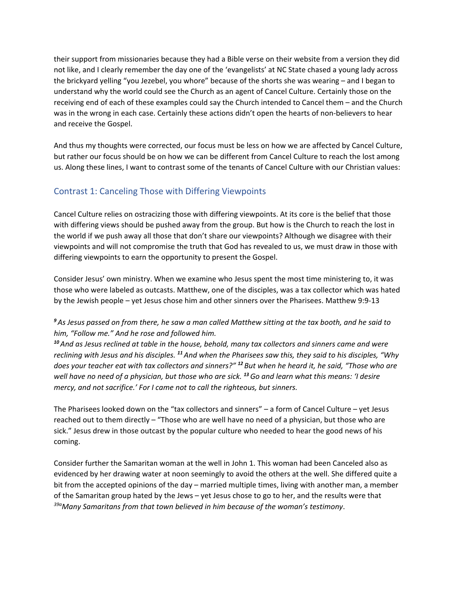their support from missionaries because they had a Bible verse on their website from a version they did not like, and I clearly remember the day one of the 'evangelists' at NC State chased a young lady across the brickyard yelling "you Jezebel, you whore" because of the shorts she was wearing – and I began to understand why the world could see the Church as an agent of Cancel Culture. Certainly those on the receiving end of each of these examples could say the Church intended to Cancel them – and the Church was in the wrong in each case. Certainly these actions didn't open the hearts of non-believers to hear and receive the Gospel.

And thus my thoughts were corrected, our focus must be less on how we are affected by Cancel Culture, but rather our focus should be on how we can be different from Cancel Culture to reach the lost among us. Along these lines, I want to contrast some of the tenants of Cancel Culture with our Christian values:

## Contrast 1: Canceling Those with Differing Viewpoints

Cancel Culture relies on ostracizing those with differing viewpoints. At its core is the belief that those with differing views should be pushed away from the group. But how is the Church to reach the lost in the world if we push away all those that don't share our viewpoints? Although we disagree with their viewpoints and will not compromise the truth that God has revealed to us, we must draw in those with differing viewpoints to earn the opportunity to present the Gospel.

Consider Jesus' own ministry. When we examine who Jesus spent the most time ministering to, it was those who were labeled as outcasts. Matthew, one of the disciples, was a tax collector which was hated by the Jewish people – yet Jesus chose him and other sinners over the Pharisees. Matthew 9:9-13

#### *<sup>9</sup>As Jesus passed on from there, he saw a man called Matthew sitting at the tax booth, and he said to him, "Follow me." And he rose and followed him.*

*<sup>10</sup>And as Jesus reclined at table in the house, behold, many tax collectors and sinners came and were reclining with Jesus and his disciples. <sup>11</sup>And when the Pharisees saw this, they said to his disciples, "Why does your teacher eat with tax collectors and sinners?" <sup>12</sup> But when he heard it, he said, "Those who are well have no need of a physician, but those who are sick. <sup>13</sup>Go and learn what this means: 'I desire mercy, and not sacrifice.' For I came not to call the righteous, but sinners.*

The Pharisees looked down on the "tax collectors and sinners" – a form of Cancel Culture – yet Jesus reached out to them directly – "Those who are well have no need of a physician, but those who are sick." Jesus drew in those outcast by the popular culture who needed to hear the good news of his coming.

Consider further the Samaritan woman at the well in John 1. This woman had been Canceled also as evidenced by her drawing water at noon seemingly to avoid the others at the well. She differed quite a bit from the accepted opinions of the day – married multiple times, living with another man, a member of the Samaritan group hated by the Jews – yet Jesus chose to go to her, and the results were that *39a Many Samaritans from that town believed in him because of the woman's testimony*.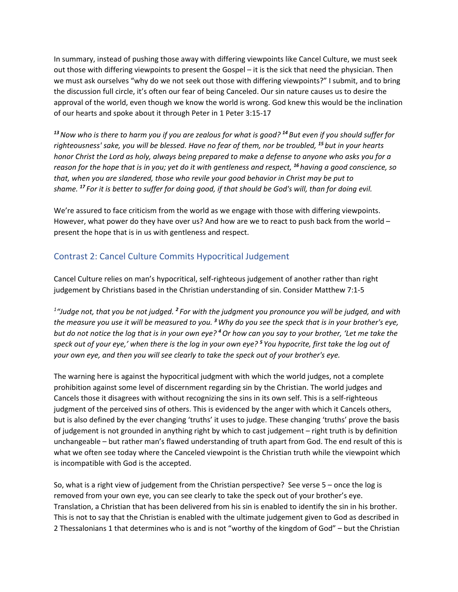In summary, instead of pushing those away with differing viewpoints like Cancel Culture, we must seek out those with differing viewpoints to present the Gospel – it is the sick that need the physician. Then we must ask ourselves "why do we not seek out those with differing viewpoints?" I submit, and to bring the discussion full circle, it's often our fear of being Canceled. Our sin nature causes us to desire the approval of the world, even though we know the world is wrong. God knew this would be the inclination of our hearts and spoke about it through Peter in 1 Peter 3:15-17

*<sup>13</sup>Now who is there to harm you if you are zealous for what is good? <sup>14</sup> But even if you should suffer for righteousness' sake, you will be blessed. Have no fear of them, nor be troubled, <sup>15</sup> but in your hearts honor Christ the Lord as holy, always being prepared to make a defense to anyone who asks you for a reason for the hope that is in you; yet do it with gentleness and respect, <sup>16</sup> having a good conscience, so that, when you are slandered, those who revile your good behavior in Christ may be put to shame. <sup>17</sup> For it is better to suffer for doing good, if that should be God's will, than for doing evil.*

We're assured to face criticism from the world as we engage with those with differing viewpoints. However, what power do they have over us? And how are we to react to push back from the world present the hope that is in us with gentleness and respect.

## Contrast 2: Cancel Culture Commits Hypocritical Judgement

Cancel Culture relies on man's hypocritical, self-righteous judgement of another rather than right judgement by Christians based in the Christian understanding of sin. Consider Matthew 7:1-5

*1 "Judge not, that you be not judged. <sup>2</sup> For with the judgment you pronounce you will be judged, and with the measure you use it will be measured to you. <sup>3</sup>Why do you see the speck that is in your brother's eye, but do not notice the log that is in your own eye? <sup>4</sup>Or how can you say to your brother, 'Let me take the speck out of your eye,' when there is the log in your own eye? <sup>5</sup> You hypocrite, first take the log out of your own eye, and then you will see clearly to take the speck out of your brother's eye.*

The warning here is against the hypocritical judgment with which the world judges, not a complete prohibition against some level of discernment regarding sin by the Christian. The world judges and Cancels those it disagrees with without recognizing the sins in its own self. This is a self-righteous judgment of the perceived sins of others. This is evidenced by the anger with which it Cancels others, but is also defined by the ever changing 'truths' it uses to judge. These changing 'truths' prove the basis of judgement is not grounded in anything right by which to cast judgement – right truth is by definition unchangeable – but rather man's flawed understanding of truth apart from God. The end result of this is what we often see today where the Canceled viewpoint is the Christian truth while the viewpoint which is incompatible with God is the accepted.

So, what is a right view of judgement from the Christian perspective? See verse 5 – once the log is removed from your own eye, you can see clearly to take the speck out of your brother's eye. Translation, a Christian that has been delivered from his sin is enabled to identify the sin in his brother. This is not to say that the Christian is enabled with the ultimate judgement given to God as described in 2 Thessalonians 1 that determines who is and is not "worthy of the kingdom of God" – but the Christian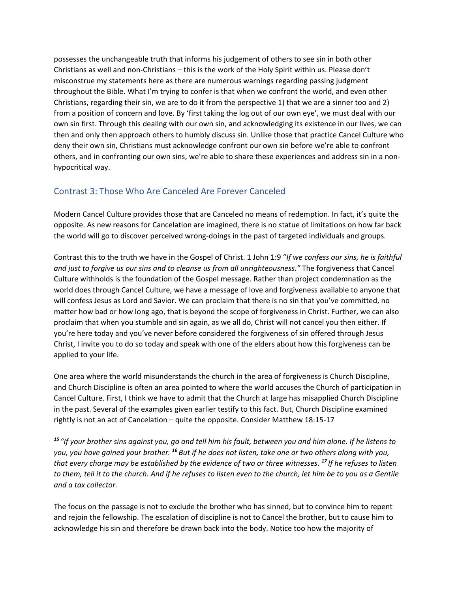possesses the unchangeable truth that informs his judgement of others to see sin in both other Christians as well and non-Christians – this is the work of the Holy Spirit within us. Please don't misconstrue my statements here as there are numerous warnings regarding passing judgment throughout the Bible. What I'm trying to confer is that when we confront the world, and even other Christians, regarding their sin, we are to do it from the perspective 1) that we are a sinner too and 2) from a position of concern and love. By 'first taking the log out of our own eye', we must deal with our own sin first. Through this dealing with our own sin, and acknowledging its existence in our lives, we can then and only then approach others to humbly discuss sin. Unlike those that practice Cancel Culture who deny their own sin, Christians must acknowledge confront our own sin before we're able to confront others, and in confronting our own sins, we're able to share these experiences and address sin in a nonhypocritical way.

#### Contrast 3: Those Who Are Canceled Are Forever Canceled

Modern Cancel Culture provides those that are Canceled no means of redemption. In fact, it's quite the opposite. As new reasons for Cancelation are imagined, there is no statue of limitations on how far back the world will go to discover perceived wrong-doings in the past of targeted individuals and groups.

Contrast this to the truth we have in the Gospel of Christ. 1 John 1:9 "*If we confess our sins, he is faithful and just to forgive us our sins and to cleanse us from all unrighteousness."* The forgiveness that Cancel Culture withholds is the foundation of the Gospel message. Rather than project condemnation as the world does through Cancel Culture, we have a message of love and forgiveness available to anyone that will confess Jesus as Lord and Savior. We can proclaim that there is no sin that you've committed, no matter how bad or how long ago, that is beyond the scope of forgiveness in Christ. Further, we can also proclaim that when you stumble and sin again, as we all do, Christ will not cancel you then either. If you're here today and you've never before considered the forgiveness of sin offered through Jesus Christ, I invite you to do so today and speak with one of the elders about how this forgiveness can be applied to your life.

One area where the world misunderstands the church in the area of forgiveness is Church Discipline, and Church Discipline is often an area pointed to where the world accuses the Church of participation in Cancel Culture. First, I think we have to admit that the Church at large has misapplied Church Discipline in the past. Several of the examples given earlier testify to this fact. But, Church Discipline examined rightly is not an act of Cancelation – quite the opposite. Consider Matthew 18:15-17

*<sup>15</sup> "If your brother sins against you, go and tell him his fault, between you and him alone. If he listens to you, you have gained your brother. <sup>16</sup> But if he does not listen, take one or two others along with you, that every charge may be established by the evidence of two or three witnesses. <sup>17</sup> If he refuses to listen to them, tell it to the church. And if he refuses to listen even to the church, let him be to you as a Gentile and a tax collector.*

The focus on the passage is not to exclude the brother who has sinned, but to convince him to repent and rejoin the fellowship. The escalation of discipline is not to Cancel the brother, but to cause him to acknowledge his sin and therefore be drawn back into the body. Notice too how the majority of